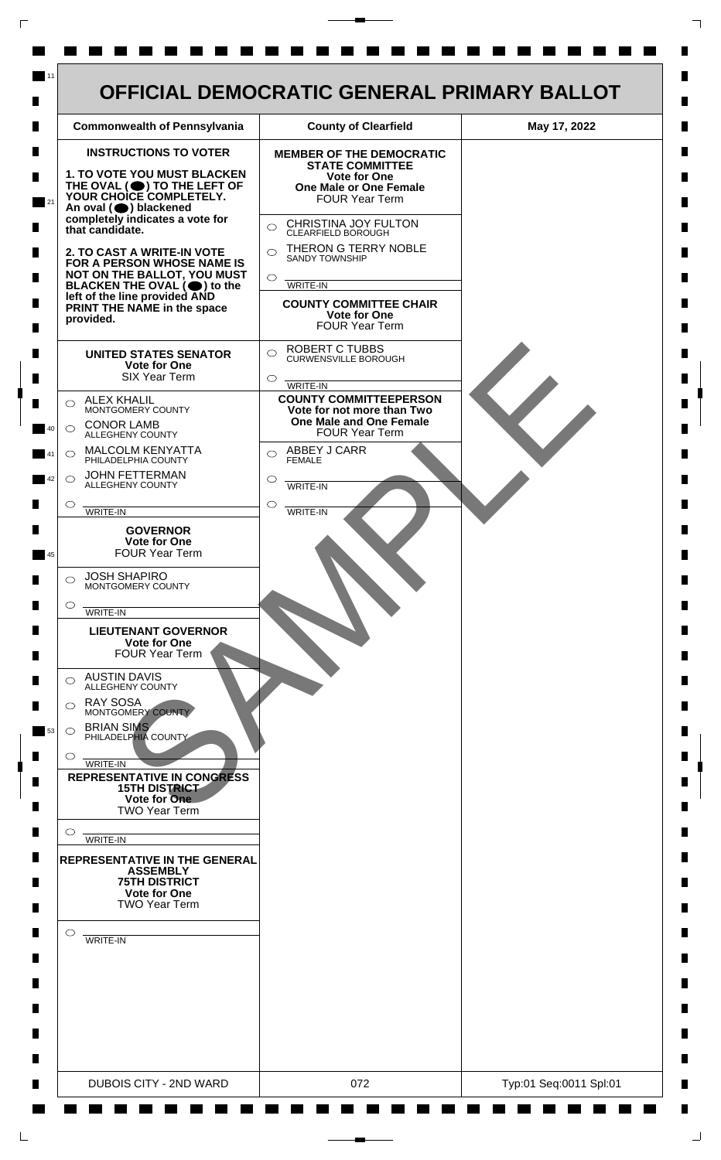

 $\mathsf{L}$ 

 $\Box$